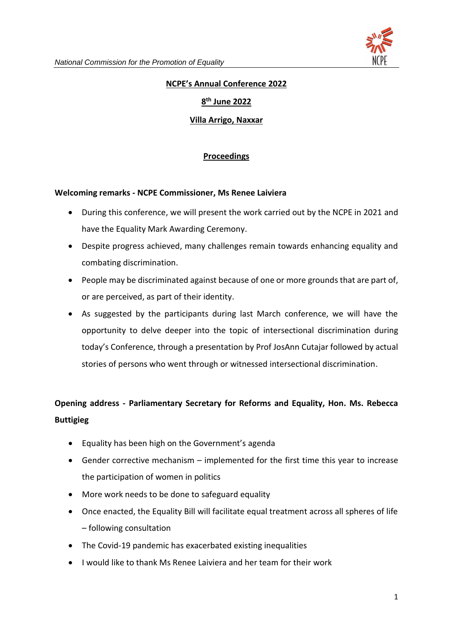

# **NCPE's Annual Conference 2022**

# **8 th June 2022**

# **Villa Arrigo, Naxxar**

# **Proceedings**

#### **Welcoming remarks - NCPE Commissioner, Ms Renee Laiviera**

- During this conference, we will present the work carried out by the NCPE in 2021 and have the Equality Mark Awarding Ceremony.
- Despite progress achieved, many challenges remain towards enhancing equality and combating discrimination.
- People may be discriminated against because of one or more grounds that are part of, or are perceived, as part of their identity.
- As suggested by the participants during last March conference, we will have the opportunity to delve deeper into the topic of intersectional discrimination during today's Conference, through a presentation by Prof JosAnn Cutajar followed by actual stories of persons who went through or witnessed intersectional discrimination.

# **Opening address - Parliamentary Secretary for Reforms and Equality, Hon. Ms. Rebecca Buttigieg**

- Equality has been high on the Government's agenda
- Gender corrective mechanism implemented for the first time this year to increase the participation of women in politics
- More work needs to be done to safeguard equality
- Once enacted, the Equality Bill will facilitate equal treatment across all spheres of life – following consultation
- The Covid-19 pandemic has exacerbated existing inequalities
- I would like to thank Ms Renee Laiviera and her team for their work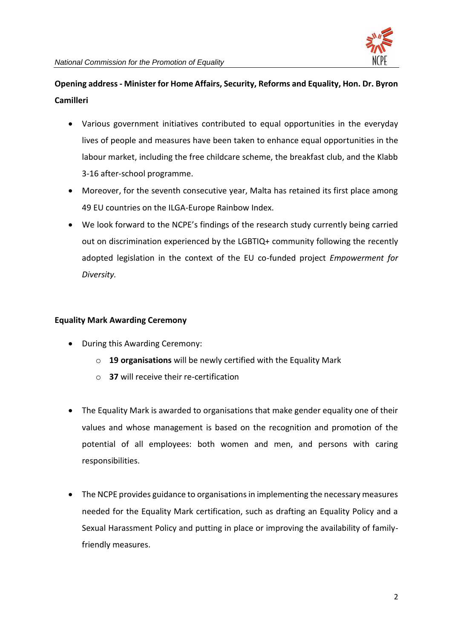

# **Opening address - Minister for Home Affairs, Security, Reforms and Equality, Hon. Dr. Byron Camilleri**

- Various government initiatives contributed to equal opportunities in the everyday lives of people and measures have been taken to enhance equal opportunities in the labour market, including the free childcare scheme, the breakfast club, and the Klabb 3-16 after-school programme.
- Moreover, for the seventh consecutive year, Malta has retained its first place among 49 EU countries on the ILGA-Europe Rainbow Index.
- We look forward to the NCPE's findings of the research study currently being carried out on discrimination experienced by the LGBTIQ+ community following the recently adopted legislation in the context of the EU co-funded project *Empowerment for Diversity.*

# **Equality Mark Awarding Ceremony**

- During this Awarding Ceremony:
	- o **19 organisations** will be newly certified with the Equality Mark
	- o **37** will receive their re-certification
- The Equality Mark is awarded to organisations that make gender equality one of their values and whose management is based on the recognition and promotion of the potential of all employees: both women and men, and persons with caring responsibilities.
- The NCPE provides guidance to organisations in implementing the necessary measures needed for the Equality Mark certification, such as drafting an Equality Policy and a Sexual Harassment Policy and putting in place or improving the availability of familyfriendly measures.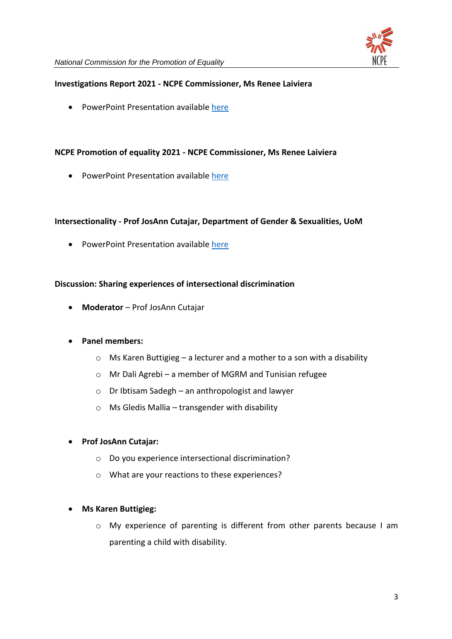

#### **Investigations Report 2021 - NCPE Commissioner, Ms Renee Laiviera**

• PowerPoint Presentation available [here](https://ncpe.gov.mt/en/Documents/Updates%20and%20Upcoming%20events/NCPE%20Annual%20Conference%202022%20-%208%20June%202022/Investigations_Report_2021.pdf)

### **NCPE Promotion of equality 2021 - NCPE Commissioner, Ms Renee Laiviera**

• PowerPoint Presentation availabl[e here](https://ncpe.gov.mt/en/Documents/Updates%20and%20Upcoming%20events/NCPE%20Annual%20Conference%202022%20-%208%20June%202022/NCPE_Promotion_of_equality_2021.pdf)

#### **Intersectionality - Prof JosAnn Cutajar, Department of Gender & Sexualities, UoM**

• PowerPoint Presentation available [here](https://ncpe.gov.mt/en/Documents/Updates%20and%20Upcoming%20events/NCPE%20Annual%20Conference%202022%20-%208%20June%202022/Intersectional_discrimination.pdf)

#### **Discussion: Sharing experiences of intersectional discrimination**

• **Moderator** – Prof JosAnn Cutajar

#### • **Panel members:**

- o Ms Karen Buttigieg a lecturer and a mother to a son with a disability
- o Mr Dali Agrebi a member of MGRM and Tunisian refugee
- o Dr Ibtisam Sadegh an anthropologist and lawyer
- $\circ$  Ms Gledis Mallia transgender with disability

#### • **Prof JosAnn Cutajar:**

- o Do you experience intersectional discrimination?
- o What are your reactions to these experiences?

#### • **Ms Karen Buttigieg:**

o My experience of parenting is different from other parents because I am parenting a child with disability.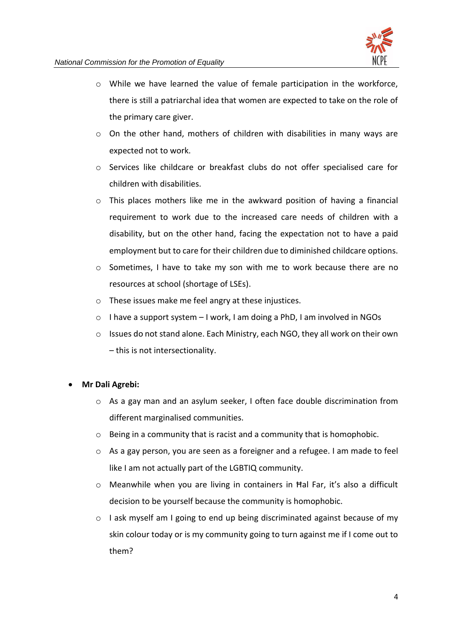

- o While we have learned the value of female participation in the workforce, there is still a patriarchal idea that women are expected to take on the role of the primary care giver.
- $\circ$  On the other hand, mothers of children with disabilities in many ways are expected not to work.
- o Services like childcare or breakfast clubs do not offer specialised care for children with disabilities.
- $\circ$  This places mothers like me in the awkward position of having a financial requirement to work due to the increased care needs of children with a disability, but on the other hand, facing the expectation not to have a paid employment but to care for their children due to diminished childcare options.
- $\circ$  Sometimes, I have to take my son with me to work because there are no resources at school (shortage of LSEs).
- o These issues make me feel angry at these injustices.
- o I have a support system I work, I am doing a PhD, I am involved in NGOs
- $\circ$  Issues do not stand alone. Each Ministry, each NGO, they all work on their own – this is not intersectionality.

# • **Mr Dali Agrebi:**

- o As a gay man and an asylum seeker, I often face double discrimination from different marginalised communities.
- o Being in a community that is racist and a community that is homophobic.
- o As a gay person, you are seen as a foreigner and a refugee. I am made to feel like I am not actually part of the LGBTIQ community.
- o Meanwhile when you are living in containers in Ħal Far, it's also a difficult decision to be yourself because the community is homophobic.
- o I ask myself am I going to end up being discriminated against because of my skin colour today or is my community going to turn against me if I come out to them?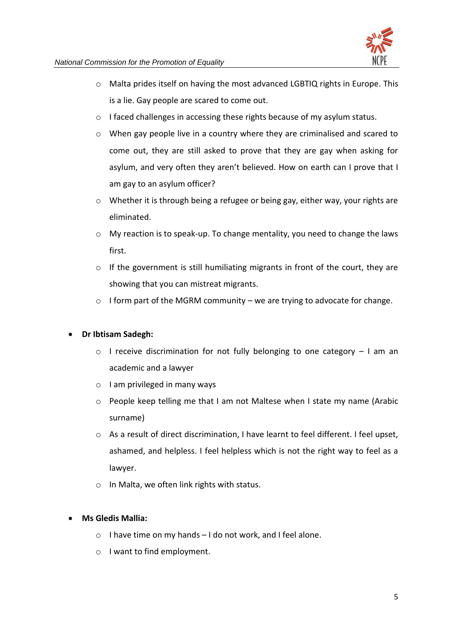

- o Malta prides itself on having the most advanced LGBTIQ rights in Europe. This is a lie. Gay people are scared to come out.
- o I faced challenges in accessing these rights because of my asylum status.
- $\circ$  When gay people live in a country where they are criminalised and scared to come out, they are still asked to prove that they are gay when asking for asylum, and very often they aren't believed. How on earth can I prove that I am gay to an asylum officer?
- $\circ$  Whether it is through being a refugee or being gay, either way, your rights are eliminated.
- o My reaction is to speak-up. To change mentality, you need to change the laws first.
- o If the government is still humiliating migrants in front of the court, they are showing that you can mistreat migrants.
- $\circ$  I form part of the MGRM community we are trying to advocate for change.

# • **Dr Ibtisam Sadegh:**

- o I receive discrimination for not fully belonging to one category I am an academic and a lawyer
- o I am privileged in many ways
- o People keep telling me that I am not Maltese when I state my name (Arabic surname)
- $\circ$  As a result of direct discrimination, I have learnt to feel different. I feel upset, ashamed, and helpless. I feel helpless which is not the right way to feel as a lawyer.
- o In Malta, we often link rights with status.

# • **Ms Gledis Mallia:**

- o I have time on my hands I do not work, and I feel alone.
- o I want to find employment.